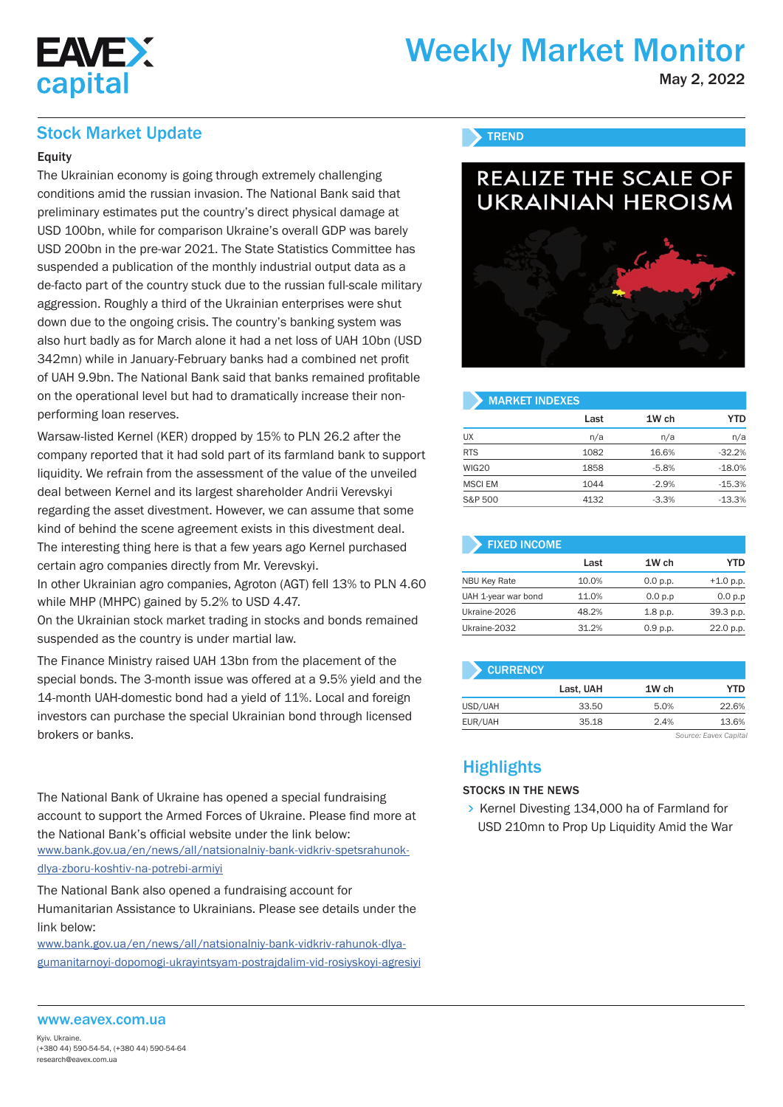

# Weekly Market Monitor

May 2, 2022

### Stock Market Update

### **Equity**

The Ukrainian economy is going through extremely challenging conditions amid the russian invasion. The National Bank said that preliminary estimates put the country's direct physical damage at USD 100bn, while for comparison Ukraine's overall GDP was barely USD 200bn in the pre-war 2021. The State Statistics Committee has suspended a publication of the monthly industrial output data as a de-facto part of the country stuck due to the russian full-scale military aggression. Roughly a third of the Ukrainian enterprises were shut down due to the ongoing crisis. The country's banking system was also hurt badly as for March alone it had a net loss of UAH 10bn (USD 342mn) while in January-February banks had a combined net profit of UAH 9.9bn. The National Bank said that banks remained profitable on the operational level but had to dramatically increase their nonperforming loan reserves.

Warsaw-listed Kernel (KER) dropped by 15% to PLN 26.2 after the company reported that it had sold part of its farmland bank to support liquidity. We refrain from the assessment of the value of the unveiled deal between Kernel and its largest shareholder Andrii Verevskyi regarding the asset divestment. However, we can assume that some kind of behind the scene agreement exists in this divestment deal. The interesting thing here is that a few years ago Kernel purchased certain agro companies directly from Mr. Verevskyi.

In other Ukrainian agro companies, Agroton (AGT) fell 13% to PLN 4.60 while MHP (MHPC) gained by 5.2% to USD 4.47.

On the Ukrainian stock market trading in stocks and bonds remained suspended as the country is under martial law.

The Finance Ministry raised UAH 13bn from the placement of the special bonds. The 3-month issue was offered at a 9.5% yield and the 14-month UAH-domestic bond had a yield of 11%. Local and foreign investors can purchase the special Ukrainian bond through licensed brokers or banks.

The National Bank of Ukraine has opened a special fundraising account to support the Armed Forces of Ukraine. Please find more at the National Bank's official website under the link below: www.bank.gov.ua/en/news/all/natsionalniy-bank-vidkriv-spetsrahunokdlya-zboru-koshtiv-na-potrebi-armiyi

The National Bank also opened a fundraising account for Humanitarian Assistance to Ukrainians. Please see details under the link below:

www.bank.gov.ua/en/news/all/natsionalniy-bank-vidkriv-rahunok-dlyagumanitarnoyi-dopomogi-ukrayintsyam-postrajdalim-vid-rosiyskoyi-agresiyi

### **TREND**



#### MARKET INDEXES

|                | Last | 1W ch   | <b>YTD</b> |
|----------------|------|---------|------------|
| UX             | n/a  | n/a     | n/a        |
| <b>RTS</b>     | 1082 | 16.6%   | $-32.2%$   |
| WIG20          | 1858 | $-5.8%$ | $-18.0%$   |
| <b>MSCI EM</b> | 1044 | $-2.9%$ | $-15.3\%$  |
| S&P 500        | 4132 | $-3.3%$ | $-13.3%$   |

| <b>FIXED INCOME</b> |       |            |             |
|---------------------|-------|------------|-------------|
|                     | Last  | 1W ch      | YTD         |
| <b>NBU Key Rate</b> | 10.0% | 0.0 p.p.   | $+1.0$ p.p. |
| UAH 1-year war bond | 11.0% | 0.0 p.p    | 0.0 p.p     |
| Ukraine-2026        | 48.2% | $1.8$ p.p. | 39.3 p.p.   |
| Ukraine-2032        | 31.2% | 0.9 p.p.   | 22.0 p.p.   |

| <b>CURRENCY</b> |           |       |                       |
|-----------------|-----------|-------|-----------------------|
|                 | Last, UAH | 1W ch | <b>YTD</b>            |
| USD/UAH         | 33.50     | 5.0%  | 22.6%                 |
| EUR/UAH         | 35.18     | 2.4%  | 13.6%                 |
|                 |           |       | Source: Eavex Capital |

**Highlights** 

#### STOCKS IN THE NEWS

 $\triangleright$  Kernel Divesting 134,000 ha of Farmland for USD 210mn to Prop Up Liquidity Amid the War

#### www.eavex.com.ua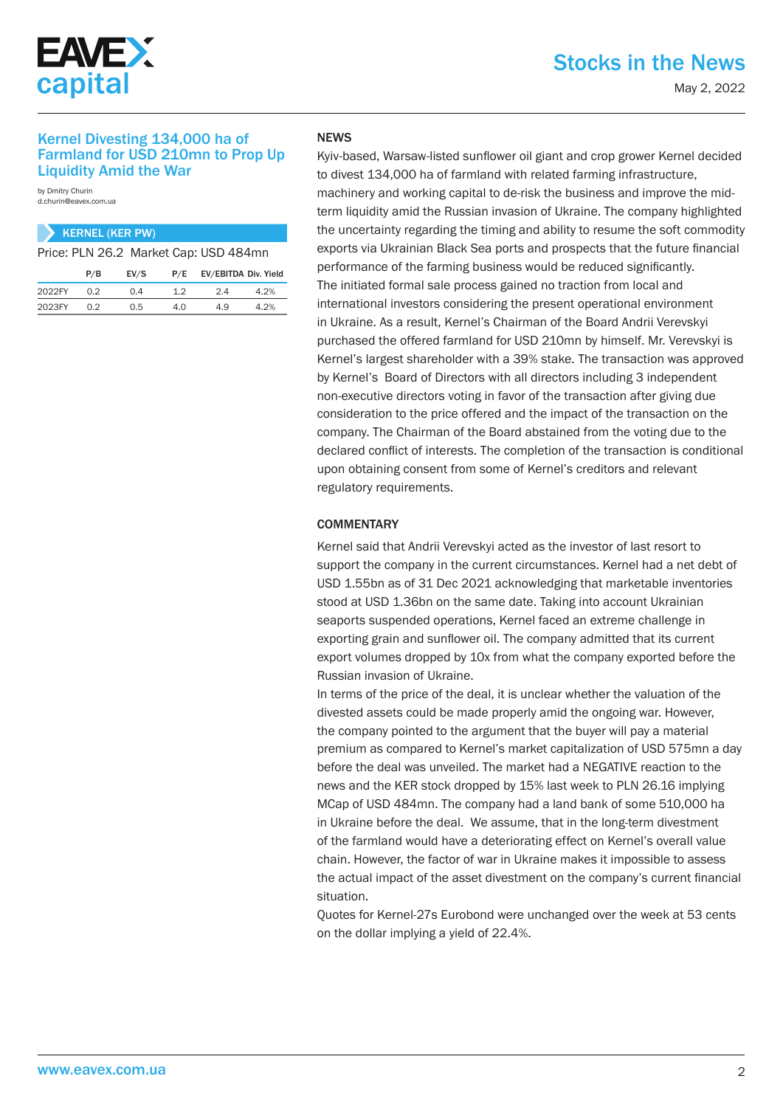

## Stocks in the News

May 2, 2022

### Kernel Divesting 134,000 ha of Farmland for USD 210mn to Prop Up Liquidity Amid the War

by Dmitry Churin d.churin@eavex.com.ua

### KERNEL (KER PW)

Price: PLN 26.2 Market Cap: USD 484mn

|        | P/B | EV/S | P/E | EV/EBITDA Div. Yield |      |
|--------|-----|------|-----|----------------------|------|
| 2022FY | 0.2 | 0.4  | 12  | 2.4                  | 4.2% |
| 2023FY | 0.2 | 0.5  | 4 N | 4.9                  | 4.2% |

### **NEWS**

Kyiv-based, Warsaw-listed sunflower oil giant and crop grower Kernel decided to divest 134,000 ha of farmland with related farming infrastructure, machinery and working capital to de-risk the business and improve the midterm liquidity amid the Russian invasion of Ukraine. The company highlighted the uncertainty regarding the timing and ability to resume the soft commodity exports via Ukrainian Black Sea ports and prospects that the future financial performance of the farming business would be reduced significantly. The initiated formal sale process gained no traction from local and international investors considering the present operational environment in Ukraine. As a result, Kernel's Chairman of the Board Andrii Verevskyi purchased the offered farmland for USD 210mn by himself. Mr. Verevskyi is Kernel's largest shareholder with a 39% stake. The transaction was approved by Kernel's Board of Directors with all directors including 3 independent non-executive directors voting in favor of the transaction after giving due consideration to the price offered and the impact of the transaction on the company. The Chairman of the Board abstained from the voting due to the declared conflict of interests. The completion of the transaction is conditional upon obtaining consent from some of Kernel's creditors and relevant regulatory requirements.

### **COMMENTARY**

Kernel said that Andrii Verevskyi acted as the investor of last resort to support the company in the current circumstances. Kernel had a net debt of USD 1.55bn as of 31 Dec 2021 acknowledging that marketable inventories stood at USD 1.36bn on the same date. Taking into account Ukrainian seaports suspended operations, Kernel faced an extreme challenge in exporting grain and sunflower oil. The company admitted that its current export volumes dropped by 10x from what the company exported before the Russian invasion of Ukraine.

In terms of the price of the deal, it is unclear whether the valuation of the divested assets could be made properly amid the ongoing war. However, the company pointed to the argument that the buyer will pay a material premium as compared to Kernel's market capitalization of USD 575mn a day before the deal was unveiled. The market had a NEGATIVE reaction to the news and the KER stock dropped by 15% last week to PLN 26.16 implying MCap of USD 484mn. The company had a land bank of some 510,000 ha in Ukraine before the deal. We assume, that in the long-term divestment of the farmland would have a deteriorating effect on Kernel's overall value chain. However, the factor of war in Ukraine makes it impossible to assess the actual impact of the asset divestment on the company's current financial situation.

Quotes for Kernel-27s Eurobond were unchanged over the week at 53 cents on the dollar implying a yield of 22.4%.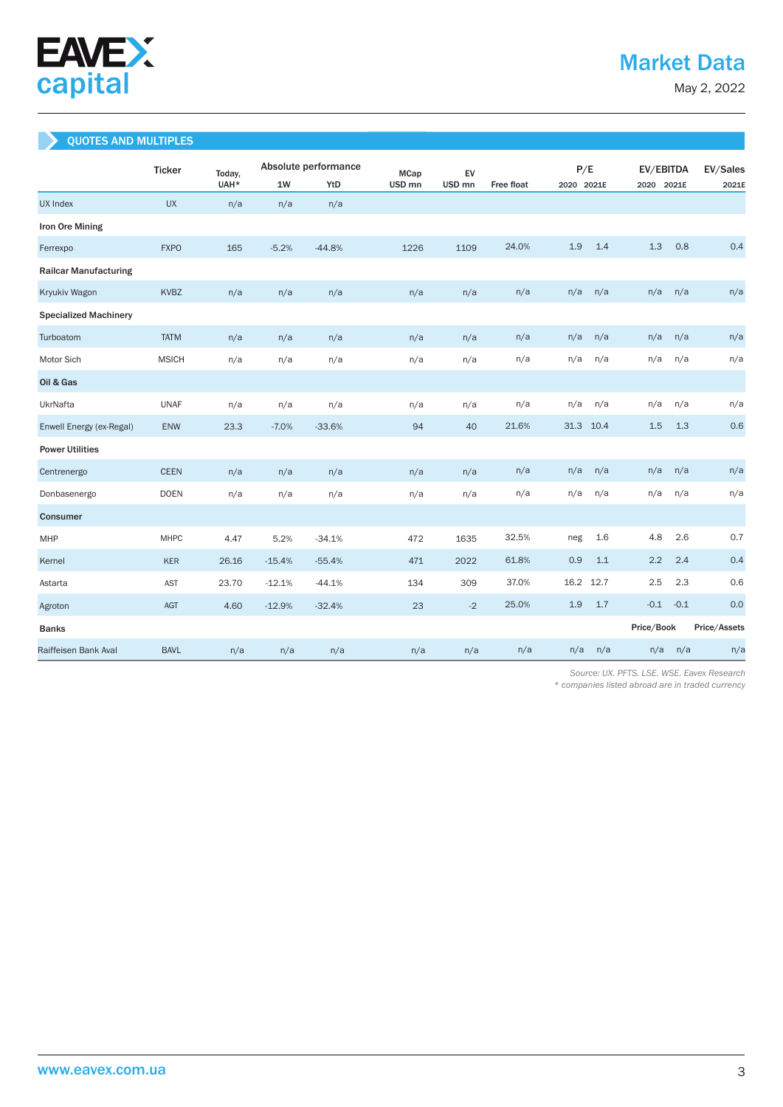

May 2, 2022

### QUOTES AND MULTIPLES

|                              | <b>Ticker</b> | Today, | Absolute performance |          |                   | EV<br><b>MCap</b> |            | P/E        |      |            | EV/EBITDA |              |  |
|------------------------------|---------------|--------|----------------------|----------|-------------------|-------------------|------------|------------|------|------------|-----------|--------------|--|
|                              |               | UAH*   | 1W                   | YtD      | USD <sub>mn</sub> | USD <sub>mn</sub> | Free float | 2020 2021E |      | 2020 2021E |           | 2021E        |  |
| <b>UX Index</b>              | <b>UX</b>     | n/a    | n/a                  | n/a      |                   |                   |            |            |      |            |           |              |  |
| Iron Ore Mining              |               |        |                      |          |                   |                   |            |            |      |            |           |              |  |
| Ferrexpo                     | <b>FXPO</b>   | 165    | $-5.2%$              | $-44.8%$ | 1226              | 1109              | 24.0%      | 1.9        | 1.4  | 1.3        | 0.8       | 0.4          |  |
| <b>Railcar Manufacturing</b> |               |        |                      |          |                   |                   |            |            |      |            |           |              |  |
| Kryukiv Wagon                | <b>KVBZ</b>   | n/a    | n/a                  | n/a      | n/a               | n/a               | n/a        | n/a        | n/a  | n/a        | n/a       | n/a          |  |
| <b>Specialized Machinery</b> |               |        |                      |          |                   |                   |            |            |      |            |           |              |  |
| Turboatom                    | <b>TATM</b>   | n/a    | n/a                  | n/a      | n/a               | n/a               | n/a        | n/a        | n/a  | n/a        | n/a       | n/a          |  |
| Motor Sich                   | <b>MSICH</b>  | n/a    | n/a                  | n/a      | n/a               | n/a               | n/a        | n/a        | n/a  | n/a        | n/a       | n/a          |  |
| Oil & Gas                    |               |        |                      |          |                   |                   |            |            |      |            |           |              |  |
| UkrNafta                     | <b>UNAF</b>   | n/a    | n/a                  | n/a      | n/a               | n/a               | n/a        | n/a        | n/a  | n/a        | n/a       | n/a          |  |
| Enwell Energy (ex-Regal)     | <b>ENW</b>    | 23.3   | $-7.0%$              | $-33.6%$ | 94                | 40                | 21.6%      | 31.3       | 10.4 | 1.5        | 1.3       | 0.6          |  |
| <b>Power Utilities</b>       |               |        |                      |          |                   |                   |            |            |      |            |           |              |  |
| Centrenergo                  | <b>CEEN</b>   | n/a    | n/a                  | n/a      | n/a               | n/a               | n/a        | n/a        | n/a  | n/a        | n/a       | n/a          |  |
| Donbasenergo                 | <b>DOEN</b>   | n/a    | n/a                  | n/a      | n/a               | n/a               | n/a        | n/a        | n/a  | n/a        | n/a       | n/a          |  |
| Consumer                     |               |        |                      |          |                   |                   |            |            |      |            |           |              |  |
| MHP                          | <b>MHPC</b>   | 4.47   | 5.2%                 | $-34.1%$ | 472               | 1635              | 32.5%      | neg        | 1.6  | 4.8        | 2.6       | 0.7          |  |
| Kernel                       | <b>KER</b>    | 26.16  | $-15.4%$             | $-55.4%$ | 471               | 2022              | 61.8%      | 0.9        | 1.1  | 2.2        | 2.4       | 0.4          |  |
| Astarta                      | <b>AST</b>    | 23.70  | $-12.1%$             | $-44.1%$ | 134               | 309               | 37.0%      | 16.2       | 12.7 | 2.5        | 2.3       | 0.6          |  |
| Agroton                      | <b>AGT</b>    | 4.60   | $-12.9%$             | $-32.4%$ | 23                | $-2$              | 25.0%      | 1.9        | 1.7  | $-0.1$     | $-0.1$    | 0.0          |  |
| <b>Banks</b>                 |               |        |                      |          |                   |                   |            |            |      | Price/Book |           | Price/Assets |  |
| Raiffeisen Bank Aval         | <b>BAVL</b>   | n/a    | n/a                  | n/a      | n/a               | n/a               | n/a        | n/a        | n/a  | n/a        | n/a       | n/a          |  |

 *Source: UX. PFTS. LSE. WSE. Eavex Research* 

*\* companies listed abroad are in traded currency*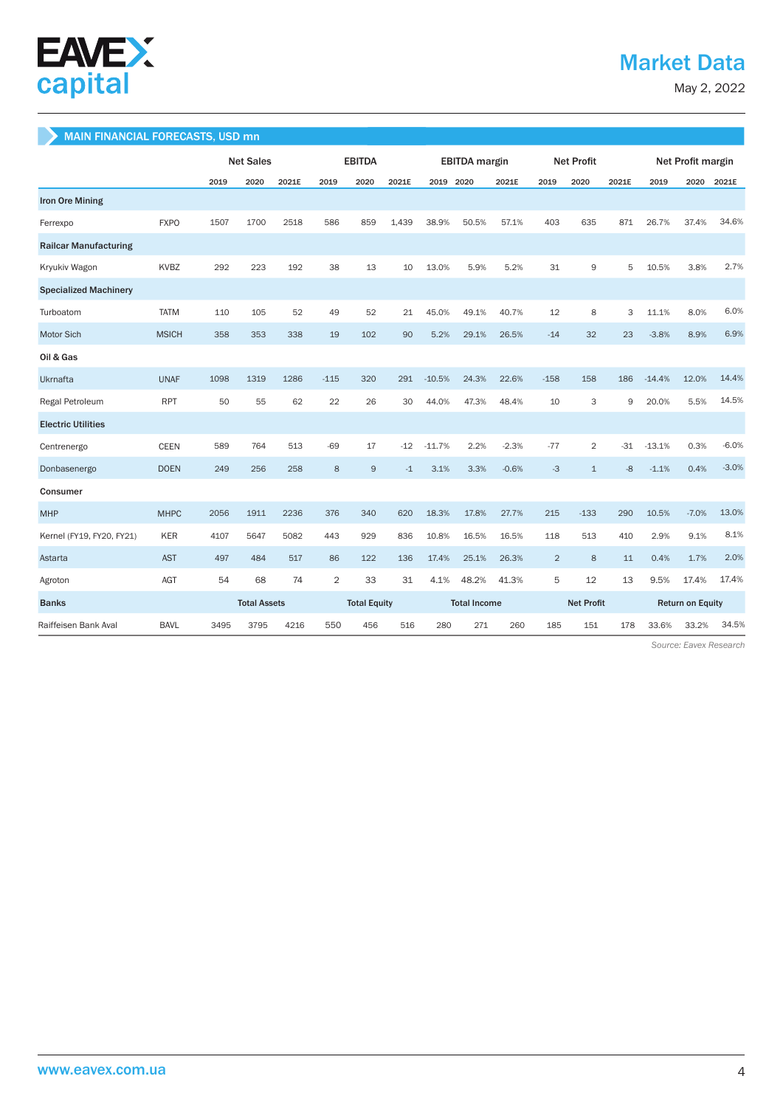

## Market Data

May 2, 2022

### MAIN FINANCIAL FORECASTS, USD mn

|                              |              | <b>Net Sales</b> |                     | <b>EBITDA</b> |                |                     | <b>EBITDA</b> margin |           |       | <b>Net Profit</b>   |                |                   | Net Profit margin |          |                         |         |
|------------------------------|--------------|------------------|---------------------|---------------|----------------|---------------------|----------------------|-----------|-------|---------------------|----------------|-------------------|-------------------|----------|-------------------------|---------|
|                              |              | 2019             | 2020                | 2021E         | 2019           | 2020                | 2021E                | 2019 2020 |       | 2021E               | 2019           | 2020              | 2021E             | 2019     | 2020                    | 2021E   |
| <b>Iron Ore Mining</b>       |              |                  |                     |               |                |                     |                      |           |       |                     |                |                   |                   |          |                         |         |
| Ferrexpo                     | <b>FXPO</b>  | 1507             | 1700                | 2518          | 586            | 859                 | 1.439                | 38.9%     | 50.5% | 57.1%               | 403            | 635               | 871               | 26.7%    | 37.4%                   | 34.6%   |
| <b>Railcar Manufacturing</b> |              |                  |                     |               |                |                     |                      |           |       |                     |                |                   |                   |          |                         |         |
| Kryukiv Wagon                | <b>KVBZ</b>  | 292              | 223                 | 192           | 38             | 13                  | 10                   | 13.0%     | 5.9%  | 5.2%                | 31             | 9                 | 5                 | 10.5%    | 3.8%                    | 2.7%    |
| <b>Specialized Machinery</b> |              |                  |                     |               |                |                     |                      |           |       |                     |                |                   |                   |          |                         |         |
| Turboatom                    | <b>TATM</b>  | 110              | 105                 | 52            | 49             | 52                  | 21                   | 45.0%     | 49.1% | 40.7%               | 12             | 8                 | 3                 | 11.1%    | 8.0%                    | 6.0%    |
| Motor Sich                   | <b>MSICH</b> | 358              | 353                 | 338           | 19             | 102                 | 90                   | 5.2%      | 29.1% | 26.5%               | $-14$          | 32                | 23                | $-3.8%$  | 8.9%                    | 6.9%    |
| Oil & Gas                    |              |                  |                     |               |                |                     |                      |           |       |                     |                |                   |                   |          |                         |         |
| Ukrnafta                     | <b>UNAF</b>  | 1098             | 1319                | 1286          | $-115$         | 320                 | 291                  | $-10.5%$  | 24.3% | 22.6%               | $-158$         | 158               | 186               | $-14.4%$ | 12.0%                   | 14.4%   |
| Regal Petroleum              | <b>RPT</b>   | 50               | 55                  | 62            | 22             | 26                  | 30                   | 44.0%     | 47.3% | 48.4%               | 10             | 3                 | 9                 | 20.0%    | 5.5%                    | 14.5%   |
| <b>Electric Utilities</b>    |              |                  |                     |               |                |                     |                      |           |       |                     |                |                   |                   |          |                         |         |
| Centrenergo                  | <b>CEEN</b>  | 589              | 764                 | 513           | $-69$          | 17                  | $-12$                | $-11.7%$  | 2.2%  | $-2.3%$             | $-77$          | $\overline{2}$    | $-31$             | $-13.1%$ | 0.3%                    | $-6.0%$ |
| Donbasenergo                 | <b>DOEN</b>  | 249              | 256                 | 258           | 8              | 9                   | $-1$                 | 3.1%      | 3.3%  | $-0.6%$             | $-3$           | $\mathbf{1}$      | $-8$              | $-1.1%$  | 0.4%                    | $-3.0%$ |
| Consumer                     |              |                  |                     |               |                |                     |                      |           |       |                     |                |                   |                   |          |                         |         |
| <b>MHP</b>                   | <b>MHPC</b>  | 2056             | 1911                | 2236          | 376            | 340                 | 620                  | 18.3%     | 17.8% | 27.7%               | 215            | $-133$            | 290               | 10.5%    | $-7.0%$                 | 13.0%   |
| Kernel (FY19, FY20, FY21)    | <b>KER</b>   | 4107             | 5647                | 5082          | 443            | 929                 | 836                  | 10.8%     | 16.5% | 16.5%               | 118            | 513               | 410               | 2.9%     | 9.1%                    | 8.1%    |
| Astarta                      | <b>AST</b>   | 497              | 484                 | 517           | 86             | 122                 | 136                  | 17.4%     | 25.1% | 26.3%               | $\overline{2}$ | 8                 | 11                | 0.4%     | 1.7%                    | 2.0%    |
| Agroton                      | AGT          | 54               | 68                  | 74            | $\overline{2}$ | 33                  | 31                   | 4.1%      | 48.2% | 41.3%               | 5              | 12                | 13                | 9.5%     | 17.4%                   | 17.4%   |
| <b>Banks</b>                 |              |                  | <b>Total Assets</b> |               |                | <b>Total Equity</b> |                      |           |       | <b>Total Income</b> |                | <b>Net Profit</b> |                   |          | <b>Return on Equity</b> |         |
| Raiffeisen Bank Aval         | <b>BAVL</b>  | 3495             | 3795                | 4216          | 550            | 456                 | 516                  | 280       | 271   | 260                 | 185            | 151               | 178               | 33.6%    | 33.2%                   | 34.5%   |

 *Source: Eavex Research*